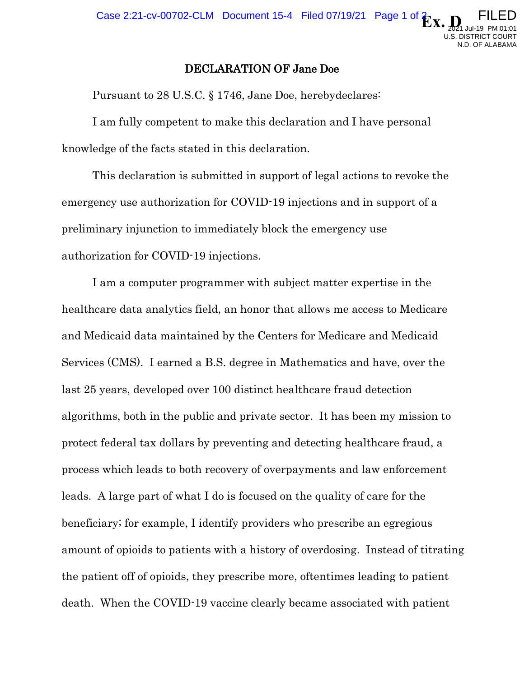FILED

 2021 Jul-19 PM 01:01 U.S. DISTRICT COURT N.D. OF ALABAMA

## DECLARATION OF Jane Doe

Pursuant to 28 U.S.C. § 1746, Jane Doe, herebydeclares:

I am fully competent to make this declaration and I have personal knowledge of the facts stated in this declaration.

This declaration is submitted in support of legal actions to revoke the emergency use authorization for COVID-19 injections and in support of a preliminary injunction to immediately block the emergency use authorization for COVID-19 injections.

I am a computer programmer with subject matter expertise in the healthcare data analytics field, an honor that allows me access to Medicare and Medicaid data maintained by the Centers for Medicare and Medicaid Services (CMS). I earned a B.S. degree in Mathematics and have, over the last 25 years, developed over 100 distinct healthcare fraud detection algorithms, both in the public and private sector. It has been my mission to protect federal tax dollars by preventing and detecting healthcare fraud, a process which leads to both recovery of overpayments and law enforcement leads. A large part of what I do is focused on the quality of care for the beneficiary; for example, I identify providers who prescribe an egregious amount of opioids to patients with a history of overdosing. Instead of titrating the patient off of opioids, they prescribe more, oftentimes leading to patient death. When the COVID-19 vaccine clearly became associated with patient